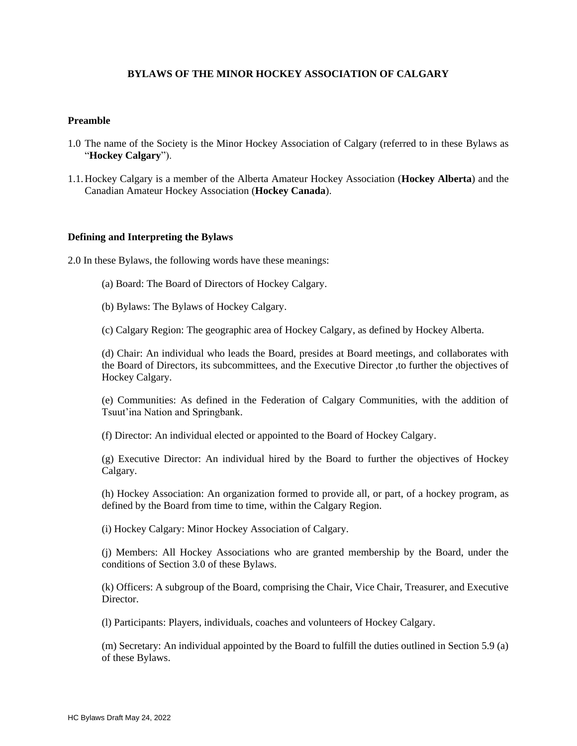## **BYLAWS OF THE MINOR HOCKEY ASSOCIATION OF CALGARY**

#### **Preamble**

- 1.0 The name of the Society is the Minor Hockey Association of Calgary (referred to in these Bylaws as "**Hockey Calgary**").
- 1.1.Hockey Calgary is a member of the Alberta Amateur Hockey Association (**Hockey Alberta**) and the Canadian Amateur Hockey Association (**Hockey Canada**).

#### **Defining and Interpreting the Bylaws**

2.0 In these Bylaws, the following words have these meanings:

- (a) Board: The Board of Directors of Hockey Calgary.
- (b) Bylaws: The Bylaws of Hockey Calgary.
- (c) Calgary Region: The geographic area of Hockey Calgary, as defined by Hockey Alberta.

(d) Chair: An individual who leads the Board, presides at Board meetings, and collaborates with the Board of Directors, its subcommittees, and the Executive Director ,to further the objectives of Hockey Calgary.

(e) Communities: As defined in the Federation of Calgary Communities, with the addition of Tsuut'ina Nation and Springbank.

(f) Director: An individual elected or appointed to the Board of Hockey Calgary.

(g) Executive Director: An individual hired by the Board to further the objectives of Hockey Calgary.

(h) Hockey Association: An organization formed to provide all, or part, of a hockey program, as defined by the Board from time to time, within the Calgary Region.

(i) Hockey Calgary: Minor Hockey Association of Calgary.

(j) Members: All Hockey Associations who are granted membership by the Board, under the conditions of Section 3.0 of these Bylaws.

(k) Officers: A subgroup of the Board, comprising the Chair, Vice Chair, Treasurer, and Executive Director.

(l) Participants: Players, individuals, coaches and volunteers of Hockey Calgary.

(m) Secretary: An individual appointed by the Board to fulfill the duties outlined in Section 5.9 (a) of these Bylaws.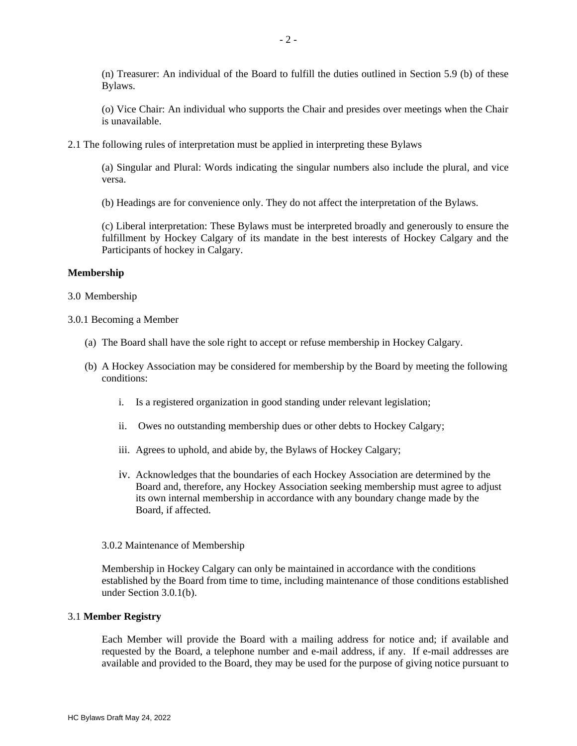(n) Treasurer: An individual of the Board to fulfill the duties outlined in Section 5.9 (b) of these Bylaws.

(o) Vice Chair: An individual who supports the Chair and presides over meetings when the Chair is unavailable.

2.1 The following rules of interpretation must be applied in interpreting these Bylaws

(a) Singular and Plural: Words indicating the singular numbers also include the plural, and vice versa.

(b) Headings are for convenience only. They do not affect the interpretation of the Bylaws.

(c) Liberal interpretation: These Bylaws must be interpreted broadly and generously to ensure the fulfillment by Hockey Calgary of its mandate in the best interests of Hockey Calgary and the Participants of hockey in Calgary.

#### **Membership**

#### 3.0 Membership

#### 3.0.1 Becoming a Member

- (a) The Board shall have the sole right to accept or refuse membership in Hockey Calgary.
- (b) A Hockey Association may be considered for membership by the Board by meeting the following conditions:
	- i. Is a registered organization in good standing under relevant legislation;
	- ii. Owes no outstanding membership dues or other debts to Hockey Calgary;
	- iii. Agrees to uphold, and abide by, the Bylaws of Hockey Calgary;
	- iv. Acknowledges that the boundaries of each Hockey Association are determined by the Board and, therefore, any Hockey Association seeking membership must agree to adjust its own internal membership in accordance with any boundary change made by the Board, if affected.

#### 3.0.2 Maintenance of Membership

Membership in Hockey Calgary can only be maintained in accordance with the conditions established by the Board from time to time, including maintenance of those conditions established under Section 3.0.1(b).

#### 3.1 **Member Registry**

Each Member will provide the Board with a mailing address for notice and; if available and requested by the Board, a telephone number and e-mail address, if any. If e-mail addresses are available and provided to the Board, they may be used for the purpose of giving notice pursuant to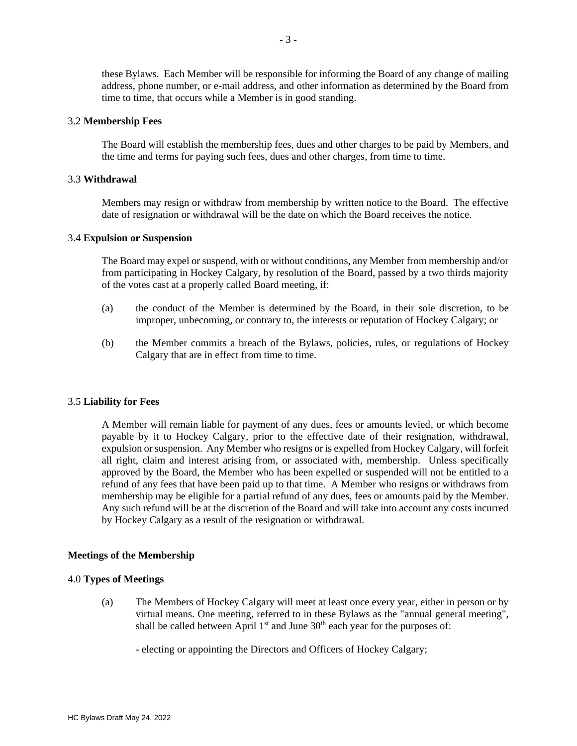these Bylaws. Each Member will be responsible for informing the Board of any change of mailing address, phone number, or e-mail address, and other information as determined by the Board from time to time, that occurs while a Member is in good standing.

#### 3.2 **Membership Fees**

The Board will establish the membership fees, dues and other charges to be paid by Members, and the time and terms for paying such fees, dues and other charges, from time to time.

#### 3.3 **Withdrawal**

Members may resign or withdraw from membership by written notice to the Board. The effective date of resignation or withdrawal will be the date on which the Board receives the notice.

### 3.4 **Expulsion or Suspension**

The Board may expel or suspend, with or without conditions, any Member from membership and/or from participating in Hockey Calgary, by resolution of the Board, passed by a two thirds majority of the votes cast at a properly called Board meeting, if:

- (a) the conduct of the Member is determined by the Board, in their sole discretion, to be improper, unbecoming, or contrary to, the interests or reputation of Hockey Calgary; or
- (b) the Member commits a breach of the Bylaws, policies, rules, or regulations of Hockey Calgary that are in effect from time to time.

#### 3.5 **Liability for Fees**

A Member will remain liable for payment of any dues, fees or amounts levied, or which become payable by it to Hockey Calgary, prior to the effective date of their resignation, withdrawal, expulsion or suspension. Any Member who resigns or is expelled from Hockey Calgary, will forfeit all right, claim and interest arising from, or associated with, membership. Unless specifically approved by the Board, the Member who has been expelled or suspended will not be entitled to a refund of any fees that have been paid up to that time. A Member who resigns or withdraws from membership may be eligible for a partial refund of any dues, fees or amounts paid by the Member. Any such refund will be at the discretion of the Board and will take into account any costs incurred by Hockey Calgary as a result of the resignation or withdrawal.

### **Meetings of the Membership**

#### 4.0 **Types of Meetings**

(a) The Members of Hockey Calgary will meet at least once every year, either in person or by virtual means. One meeting, referred to in these Bylaws as the "annual general meeting", shall be called between April  $1<sup>st</sup>$  and June  $30<sup>th</sup>$  each year for the purposes of:

- electing or appointing the Directors and Officers of Hockey Calgary;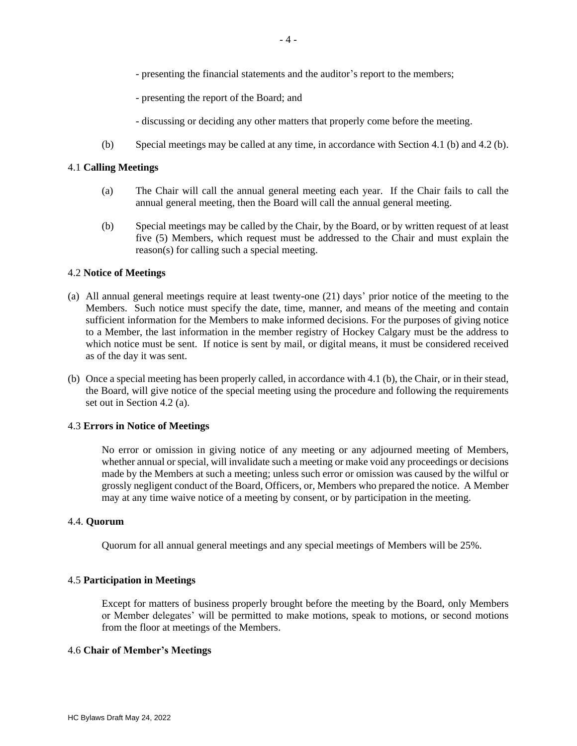- presenting the financial statements and the auditor's report to the members;
- presenting the report of the Board; and
- discussing or deciding any other matters that properly come before the meeting.
- (b) Special meetings may be called at any time, in accordance with Section 4.1 (b) and 4.2 (b).

## 4.1 **Calling Meetings**

- (a) The Chair will call the annual general meeting each year. If the Chair fails to call the annual general meeting, then the Board will call the annual general meeting.
- (b) Special meetings may be called by the Chair, by the Board, or by written request of at least five (5) Members, which request must be addressed to the Chair and must explain the reason(s) for calling such a special meeting.

## 4.2 **Notice of Meetings**

- (a) All annual general meetings require at least twenty-one (21) days' prior notice of the meeting to the Members. Such notice must specify the date, time, manner, and means of the meeting and contain sufficient information for the Members to make informed decisions. For the purposes of giving notice to a Member, the last information in the member registry of Hockey Calgary must be the address to which notice must be sent. If notice is sent by mail, or digital means, it must be considered received as of the day it was sent.
- (b) Once a special meeting has been properly called, in accordance with 4.1 (b), the Chair, or in their stead, the Board, will give notice of the special meeting using the procedure and following the requirements set out in Section 4.2 (a).

#### 4.3 **Errors in Notice of Meetings**

No error or omission in giving notice of any meeting or any adjourned meeting of Members, whether annual or special, will invalidate such a meeting or make void any proceedings or decisions made by the Members at such a meeting; unless such error or omission was caused by the wilful or grossly negligent conduct of the Board, Officers, or, Members who prepared the notice. A Member may at any time waive notice of a meeting by consent, or by participation in the meeting.

#### 4.4. **Quorum**

Quorum for all annual general meetings and any special meetings of Members will be 25%.

## 4.5 **Participation in Meetings**

Except for matters of business properly brought before the meeting by the Board, only Members or Member delegates' will be permitted to make motions, speak to motions, or second motions from the floor at meetings of the Members.

### 4.6 **Chair of Member's Meetings**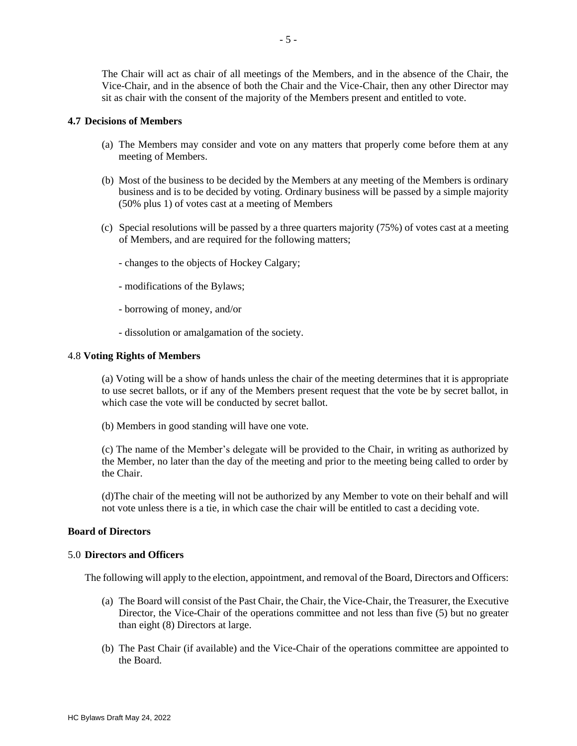The Chair will act as chair of all meetings of the Members, and in the absence of the Chair, the Vice-Chair, and in the absence of both the Chair and the Vice-Chair, then any other Director may sit as chair with the consent of the majority of the Members present and entitled to vote.

## **4.7 Decisions of Members**

- (a) The Members may consider and vote on any matters that properly come before them at any meeting of Members.
- (b) Most of the business to be decided by the Members at any meeting of the Members is ordinary business and is to be decided by voting. Ordinary business will be passed by a simple majority (50% plus 1) of votes cast at a meeting of Members
- (c) Special resolutions will be passed by a three quarters majority (75%) of votes cast at a meeting of Members, and are required for the following matters;
	- changes to the objects of Hockey Calgary;
	- modifications of the Bylaws;
	- borrowing of money, and/or
	- dissolution or amalgamation of the society.

#### 4.8 **Voting Rights of Members**

(a) Voting will be a show of hands unless the chair of the meeting determines that it is appropriate to use secret ballots, or if any of the Members present request that the vote be by secret ballot, in which case the vote will be conducted by secret ballot.

(b) Members in good standing will have one vote.

(c) The name of the Member's delegate will be provided to the Chair, in writing as authorized by the Member, no later than the day of the meeting and prior to the meeting being called to order by the Chair.

(d)The chair of the meeting will not be authorized by any Member to vote on their behalf and will not vote unless there is a tie, in which case the chair will be entitled to cast a deciding vote.

#### **Board of Directors**

#### 5.0 **Directors and Officers**

The following will apply to the election, appointment, and removal of the Board, Directors and Officers:

- (a) The Board will consist of the Past Chair, the Chair, the Vice-Chair, the Treasurer, the Executive Director, the Vice-Chair of the operations committee and not less than five (5) but no greater than eight (8) Directors at large.
- (b) The Past Chair (if available) and the Vice-Chair of the operations committee are appointed to the Board.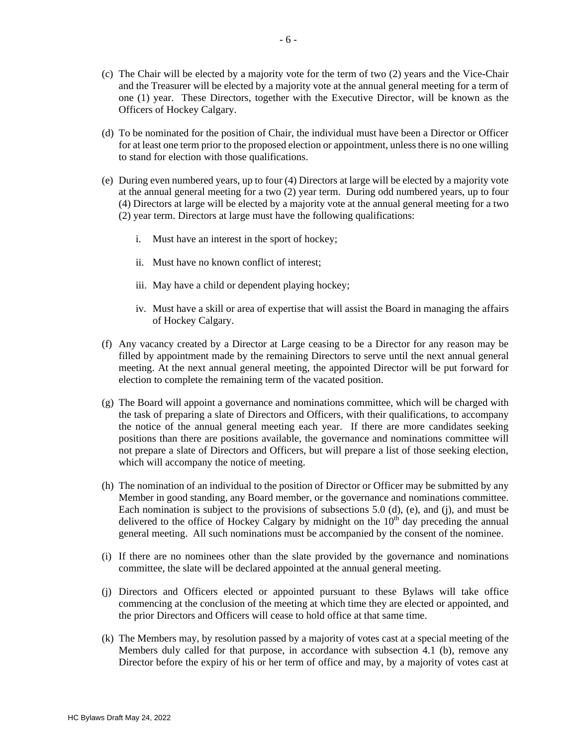- (c) The Chair will be elected by a majority vote for the term of two (2) years and the Vice-Chair and the Treasurer will be elected by a majority vote at the annual general meeting for a term of one (1) year. These Directors, together with the Executive Director, will be known as the Officers of Hockey Calgary.
- (d) To be nominated for the position of Chair, the individual must have been a Director or Officer for at least one term prior to the proposed election or appointment, unless there is no one willing to stand for election with those qualifications.
- (e) During even numbered years, up to four (4) Directors at large will be elected by a majority vote at the annual general meeting for a two (2) year term. During odd numbered years, up to four (4) Directors at large will be elected by a majority vote at the annual general meeting for a two (2) year term. Directors at large must have the following qualifications:
	- i. Must have an interest in the sport of hockey;
	- ii. Must have no known conflict of interest;
	- iii. May have a child or dependent playing hockey;
	- iv. Must have a skill or area of expertise that will assist the Board in managing the affairs of Hockey Calgary.
- (f) Any vacancy created by a Director at Large ceasing to be a Director for any reason may be filled by appointment made by the remaining Directors to serve until the next annual general meeting. At the next annual general meeting, the appointed Director will be put forward for election to complete the remaining term of the vacated position.
- (g) The Board will appoint a governance and nominations committee, which will be charged with the task of preparing a slate of Directors and Officers, with their qualifications, to accompany the notice of the annual general meeting each year. If there are more candidates seeking positions than there are positions available, the governance and nominations committee will not prepare a slate of Directors and Officers, but will prepare a list of those seeking election, which will accompany the notice of meeting.
- (h) The nomination of an individual to the position of Director or Officer may be submitted by any Member in good standing, any Board member, or the governance and nominations committee. Each nomination is subject to the provisions of subsections  $5.0$  (d), (e), and (j), and must be delivered to the office of Hockey Calgary by midnight on the  $10<sup>th</sup>$  day preceding the annual general meeting. All such nominations must be accompanied by the consent of the nominee.
- (i) If there are no nominees other than the slate provided by the governance and nominations committee, the slate will be declared appointed at the annual general meeting.
- (j) Directors and Officers elected or appointed pursuant to these Bylaws will take office commencing at the conclusion of the meeting at which time they are elected or appointed, and the prior Directors and Officers will cease to hold office at that same time.
- (k) The Members may, by resolution passed by a majority of votes cast at a special meeting of the Members duly called for that purpose, in accordance with subsection 4.1 (b), remove any Director before the expiry of his or her term of office and may, by a majority of votes cast at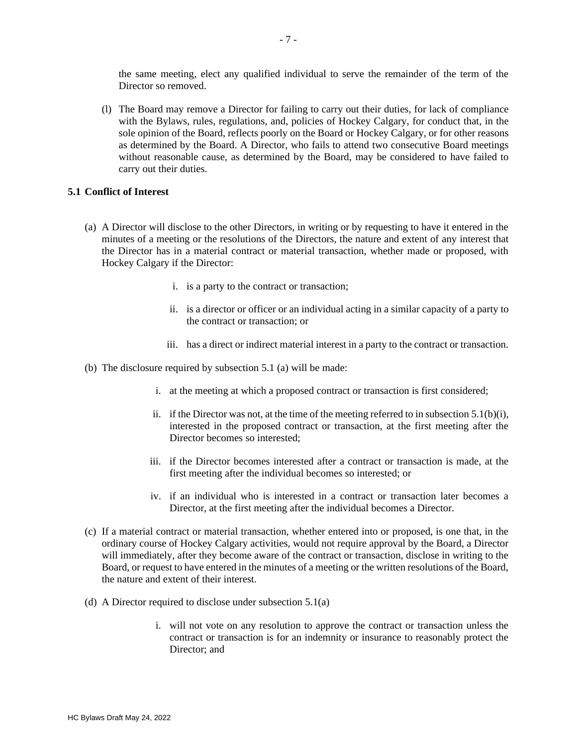the same meeting, elect any qualified individual to serve the remainder of the term of the Director so removed.

(l) The Board may remove a Director for failing to carry out their duties, for lack of compliance with the Bylaws, rules, regulations, and, policies of Hockey Calgary, for conduct that, in the sole opinion of the Board, reflects poorly on the Board or Hockey Calgary, or for other reasons as determined by the Board. A Director, who fails to attend two consecutive Board meetings without reasonable cause, as determined by the Board, may be considered to have failed to carry out their duties.

### **5.1 Conflict of Interest**

- (a) A Director will disclose to the other Directors, in writing or by requesting to have it entered in the minutes of a meeting or the resolutions of the Directors, the nature and extent of any interest that the Director has in a material contract or material transaction, whether made or proposed, with Hockey Calgary if the Director:
	- i. is a party to the contract or transaction;
	- ii. is a director or officer or an individual acting in a similar capacity of a party to the contract or transaction; or
	- iii. has a direct or indirect material interest in a party to the contract or transaction.
- (b) The disclosure required by subsection 5.1 (a) will be made:
	- i. at the meeting at which a proposed contract or transaction is first considered;
	- ii. if the Director was not, at the time of the meeting referred to in subsection  $5.1(b)(i)$ , interested in the proposed contract or transaction, at the first meeting after the Director becomes so interested;
	- iii. if the Director becomes interested after a contract or transaction is made, at the first meeting after the individual becomes so interested; or
	- iv. if an individual who is interested in a contract or transaction later becomes a Director, at the first meeting after the individual becomes a Director.
- (c) If a material contract or material transaction, whether entered into or proposed, is one that, in the ordinary course of Hockey Calgary activities, would not require approval by the Board, a Director will immediately, after they become aware of the contract or transaction, disclose in writing to the Board, or request to have entered in the minutes of a meeting or the written resolutions of the Board, the nature and extent of their interest.
- (d) A Director required to disclose under subsection 5.1(a)
	- i. will not vote on any resolution to approve the contract or transaction unless the contract or transaction is for an indemnity or insurance to reasonably protect the Director; and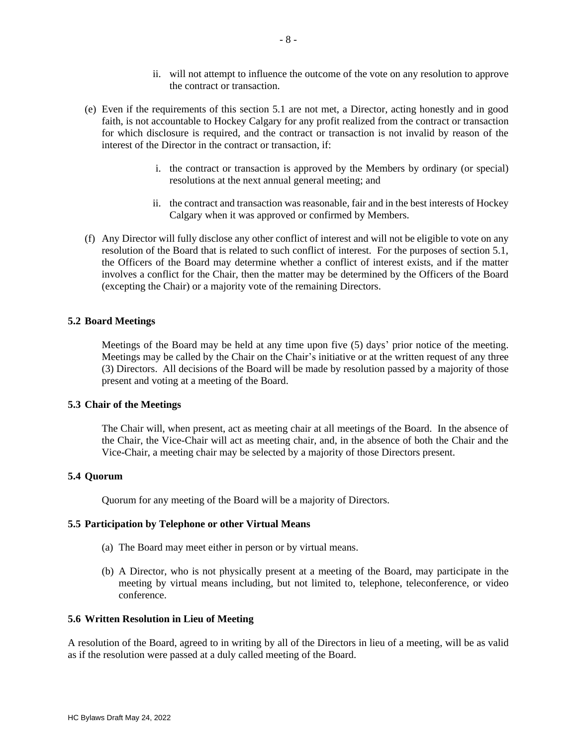- ii. will not attempt to influence the outcome of the vote on any resolution to approve the contract or transaction.
- (e) Even if the requirements of this section 5.1 are not met, a Director, acting honestly and in good faith, is not accountable to Hockey Calgary for any profit realized from the contract or transaction for which disclosure is required, and the contract or transaction is not invalid by reason of the interest of the Director in the contract or transaction, if:
	- i. the contract or transaction is approved by the Members by ordinary (or special) resolutions at the next annual general meeting; and
	- ii. the contract and transaction was reasonable, fair and in the best interests of Hockey Calgary when it was approved or confirmed by Members.
- (f) Any Director will fully disclose any other conflict of interest and will not be eligible to vote on any resolution of the Board that is related to such conflict of interest. For the purposes of section 5.1, the Officers of the Board may determine whether a conflict of interest exists, and if the matter involves a conflict for the Chair, then the matter may be determined by the Officers of the Board (excepting the Chair) or a majority vote of the remaining Directors.

## **5.2 Board Meetings**

Meetings of the Board may be held at any time upon five (5) days' prior notice of the meeting. Meetings may be called by the Chair on the Chair's initiative or at the written request of any three (3) Directors. All decisions of the Board will be made by resolution passed by a majority of those present and voting at a meeting of the Board.

#### **5.3 Chair of the Meetings**

The Chair will, when present, act as meeting chair at all meetings of the Board. In the absence of the Chair, the Vice-Chair will act as meeting chair, and, in the absence of both the Chair and the Vice-Chair, a meeting chair may be selected by a majority of those Directors present.

## **5.4 Quorum**

Quorum for any meeting of the Board will be a majority of Directors.

### **5.5 Participation by Telephone or other Virtual Means**

- (a) The Board may meet either in person or by virtual means.
- (b) A Director, who is not physically present at a meeting of the Board, may participate in the meeting by virtual means including, but not limited to, telephone, teleconference, or video conference.

#### **5.6 Written Resolution in Lieu of Meeting**

A resolution of the Board, agreed to in writing by all of the Directors in lieu of a meeting, will be as valid as if the resolution were passed at a duly called meeting of the Board.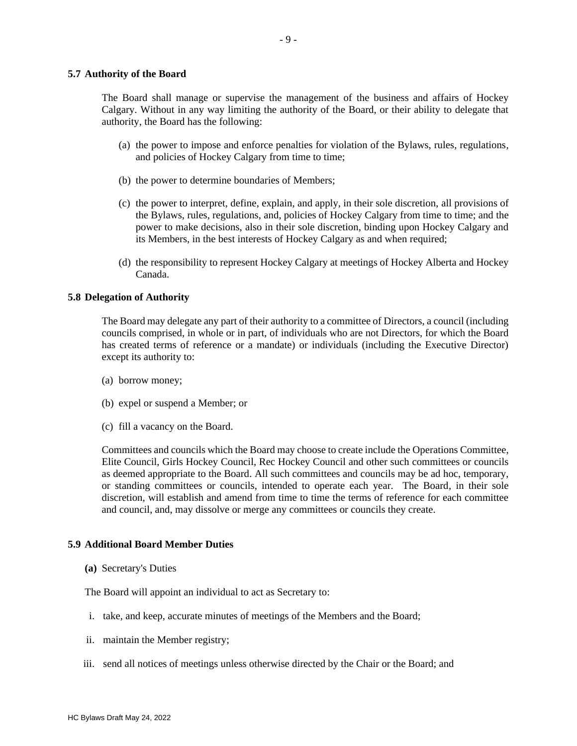#### **5.7 Authority of the Board**

The Board shall manage or supervise the management of the business and affairs of Hockey Calgary. Without in any way limiting the authority of the Board, or their ability to delegate that authority, the Board has the following:

- (a) the power to impose and enforce penalties for violation of the Bylaws, rules, regulations, and policies of Hockey Calgary from time to time;
- (b) the power to determine boundaries of Members;
- (c) the power to interpret, define, explain, and apply, in their sole discretion, all provisions of the Bylaws, rules, regulations, and, policies of Hockey Calgary from time to time; and the power to make decisions, also in their sole discretion, binding upon Hockey Calgary and its Members, in the best interests of Hockey Calgary as and when required;
- (d) the responsibility to represent Hockey Calgary at meetings of Hockey Alberta and Hockey Canada.

#### **5.8 Delegation of Authority**

The Board may delegate any part of their authority to a committee of Directors, a council (including councils comprised, in whole or in part, of individuals who are not Directors, for which the Board has created terms of reference or a mandate) or individuals (including the Executive Director) except its authority to:

- (a) borrow money;
- (b) expel or suspend a Member; or
- (c) fill a vacancy on the Board.

Committees and councils which the Board may choose to create include the Operations Committee, Elite Council, Girls Hockey Council, Rec Hockey Council and other such committees or councils as deemed appropriate to the Board. All such committees and councils may be ad hoc, temporary, or standing committees or councils, intended to operate each year. The Board, in their sole discretion, will establish and amend from time to time the terms of reference for each committee and council, and, may dissolve or merge any committees or councils they create.

#### **5.9 Additional Board Member Duties**

**(a)** Secretary's Duties

The Board will appoint an individual to act as Secretary to:

- i. take, and keep, accurate minutes of meetings of the Members and the Board;
- ii. maintain the Member registry;
- iii. send all notices of meetings unless otherwise directed by the Chair or the Board; and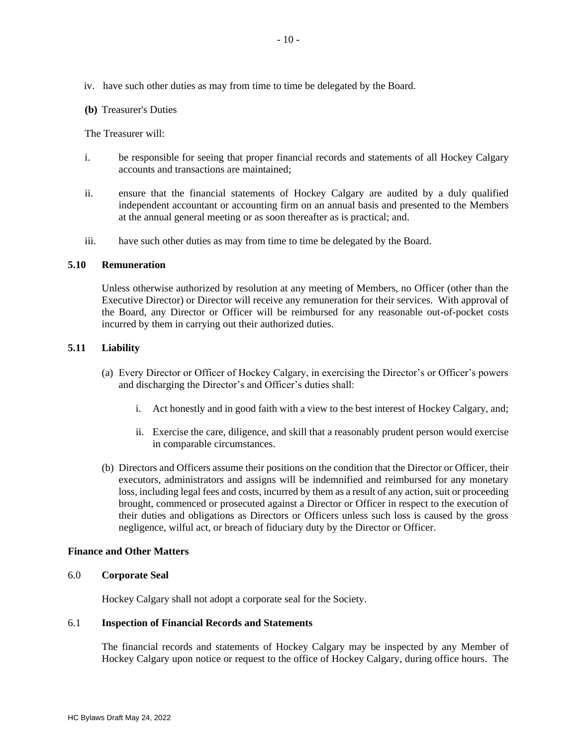iv. have such other duties as may from time to time be delegated by the Board.

**(b)** Treasurer's Duties

The Treasurer will:

- i. be responsible for seeing that proper financial records and statements of all Hockey Calgary accounts and transactions are maintained;
- ii. ensure that the financial statements of Hockey Calgary are audited by a duly qualified independent accountant or accounting firm on an annual basis and presented to the Members at the annual general meeting or as soon thereafter as is practical; and.
- iii. have such other duties as may from time to time be delegated by the Board.

## **5.10 Remuneration**

Unless otherwise authorized by resolution at any meeting of Members, no Officer (other than the Executive Director) or Director will receive any remuneration for their services. With approval of the Board, any Director or Officer will be reimbursed for any reasonable out-of-pocket costs incurred by them in carrying out their authorized duties.

## **5.11 Liability**

- (a) Every Director or Officer of Hockey Calgary, in exercising the Director's or Officer's powers and discharging the Director's and Officer's duties shall:
	- i. Act honestly and in good faith with a view to the best interest of Hockey Calgary, and;
	- ii. Exercise the care, diligence, and skill that a reasonably prudent person would exercise in comparable circumstances.
- (b) Directors and Officers assume their positions on the condition that the Director or Officer, their executors, administrators and assigns will be indemnified and reimbursed for any monetary loss, including legal fees and costs, incurred by them as a result of any action, suit or proceeding brought, commenced or prosecuted against a Director or Officer in respect to the execution of their duties and obligations as Directors or Officers unless such loss is caused by the gross negligence, wilful act, or breach of fiduciary duty by the Director or Officer.

## **Finance and Other Matters**

## 6.0 **Corporate Seal**

Hockey Calgary shall not adopt a corporate seal for the Society.

## 6.1 **Inspection of Financial Records and Statements**

The financial records and statements of Hockey Calgary may be inspected by any Member of Hockey Calgary upon notice or request to the office of Hockey Calgary, during office hours. The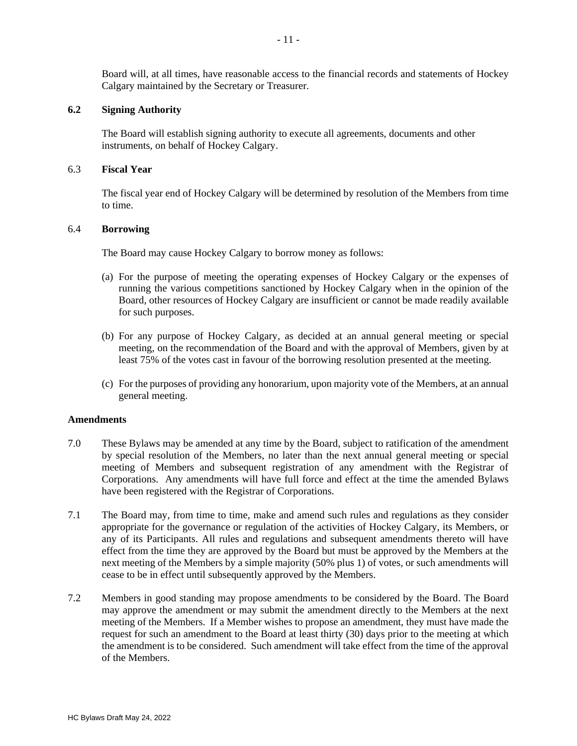Board will, at all times, have reasonable access to the financial records and statements of Hockey Calgary maintained by the Secretary or Treasurer.

### **6.2 Signing Authority**

The Board will establish signing authority to execute all agreements, documents and other instruments, on behalf of Hockey Calgary.

### 6.3 **Fiscal Year**

The fiscal year end of Hockey Calgary will be determined by resolution of the Members from time to time.

### 6.4 **Borrowing**

The Board may cause Hockey Calgary to borrow money as follows:

- (a) For the purpose of meeting the operating expenses of Hockey Calgary or the expenses of running the various competitions sanctioned by Hockey Calgary when in the opinion of the Board, other resources of Hockey Calgary are insufficient or cannot be made readily available for such purposes.
- (b) For any purpose of Hockey Calgary, as decided at an annual general meeting or special meeting, on the recommendation of the Board and with the approval of Members, given by at least 75% of the votes cast in favour of the borrowing resolution presented at the meeting.
- (c) For the purposes of providing any honorarium, upon majority vote of the Members, at an annual general meeting.

## **Amendments**

- 7.0 These Bylaws may be amended at any time by the Board, subject to ratification of the amendment by special resolution of the Members, no later than the next annual general meeting or special meeting of Members and subsequent registration of any amendment with the Registrar of Corporations. Any amendments will have full force and effect at the time the amended Bylaws have been registered with the Registrar of Corporations.
- 7.1 The Board may, from time to time, make and amend such rules and regulations as they consider appropriate for the governance or regulation of the activities of Hockey Calgary, its Members, or any of its Participants. All rules and regulations and subsequent amendments thereto will have effect from the time they are approved by the Board but must be approved by the Members at the next meeting of the Members by a simple majority (50% plus 1) of votes, or such amendments will cease to be in effect until subsequently approved by the Members.
- 7.2 Members in good standing may propose amendments to be considered by the Board. The Board may approve the amendment or may submit the amendment directly to the Members at the next meeting of the Members. If a Member wishes to propose an amendment, they must have made the request for such an amendment to the Board at least thirty (30) days prior to the meeting at which the amendment is to be considered. Such amendment will take effect from the time of the approval of the Members.